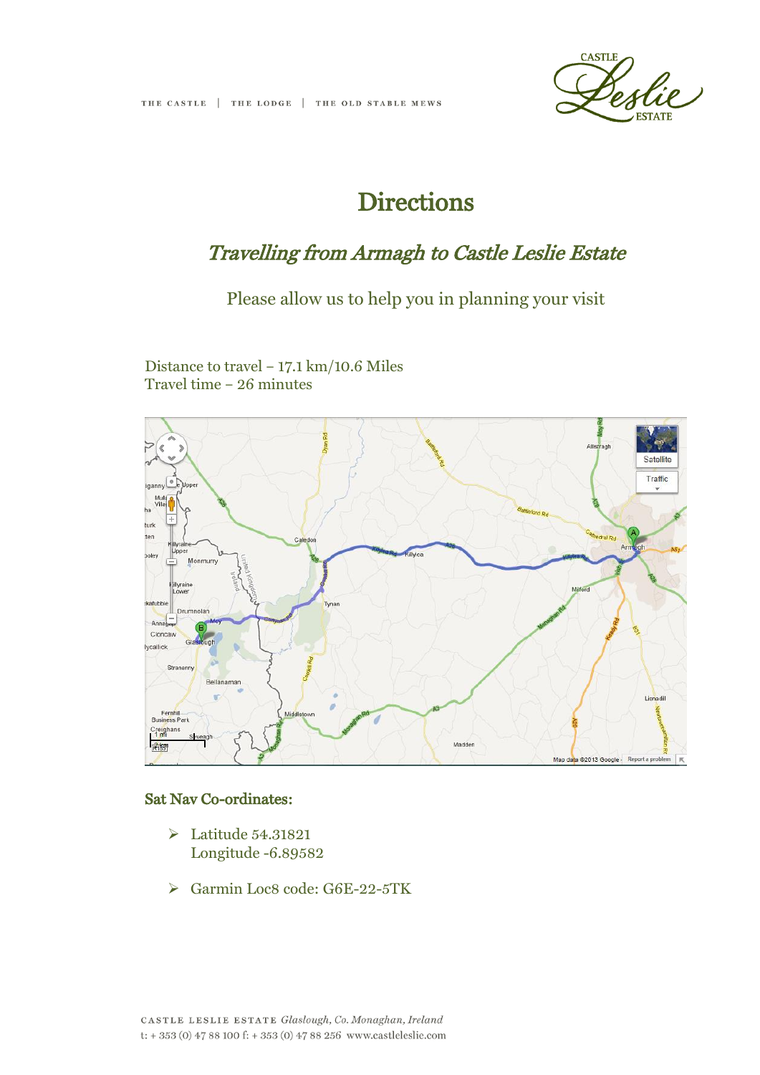

# **Directions**

## Travelling from Armagh to Castle Leslie Estate

### Please allow us to help you in planning your visit

Distance to travel – 17.1 km/10.6 Miles Travel time – 26 minutes



#### Sat Nav Co-ordinates:

- $\geq$  Latitude 54.31821 Longitude -6.89582
- Garmin Loc8 code: G6E-22-5TK